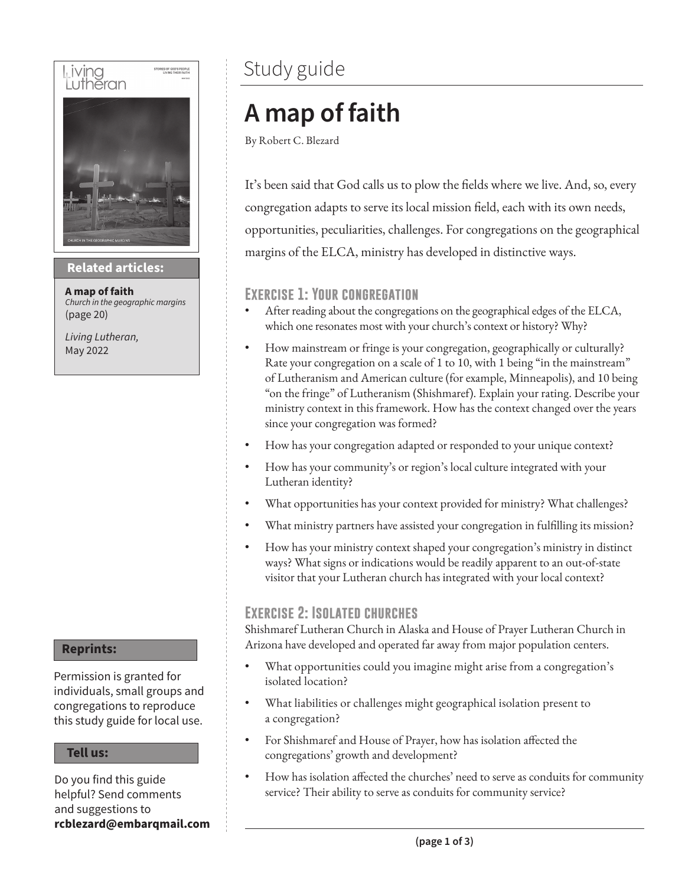

#### **Then sings my soul Related articles:**

**A map of faith** *Church in the geographic margins* (page 20)

*Living Lutheran,* May 2022

#### **Reprints:**

Permission is granted for individuals, small groups and congregations to reproduce this study guide for local use.

#### **Tell us:**

Do you find this guide helpful? Send comments and suggestions to **rcblezard@embarqmail.com**

### Study guide

## **A map of faith**

By Robert C. Blezard

It's been said that God calls us to plow the fields where we live. And, so, every congregation adapts to serve its local mission field, each with its own needs, opportunities, peculiarities, challenges. For congregations on the geographical margins of the ELCA, ministry has developed in distinctive ways.

#### **Exercise 1: Your congregation**

- After reading about the congregations on the geographical edges of the ELCA, which one resonates most with your church's context or history? Why?
- How mainstream or fringe is your congregation, geographically or culturally? Rate your congregation on a scale of 1 to 10, with 1 being "in the mainstream" of Lutheranism and American culture (for example, Minneapolis), and 10 being "on the fringe" of Lutheranism (Shishmaref). Explain your rating. Describe your ministry context in this framework. How has the context changed over the years since your congregation was formed?
- How has your congregation adapted or responded to your unique context?
- How has your community's or region's local culture integrated with your Lutheran identity?
- What opportunities has your context provided for ministry? What challenges?
- What ministry partners have assisted your congregation in fulfilling its mission?
- How has your ministry context shaped your congregation's ministry in distinct ways? What signs or indications would be readily apparent to an out-of-state visitor that your Lutheran church has integrated with your local context?

#### **Exercise 2: Isolated churches**

Shishmaref Lutheran Church in Alaska and House of Prayer Lutheran Church in Arizona have developed and operated far away from major population centers.

- What opportunities could you imagine might arise from a congregation's isolated location?
- What liabilities or challenges might geographical isolation present to a congregation?
- For Shishmaref and House of Prayer, how has isolation affected the congregations' growth and development?
- How has isolation affected the churches' need to serve as conduits for community service? Their ability to serve as conduits for community service?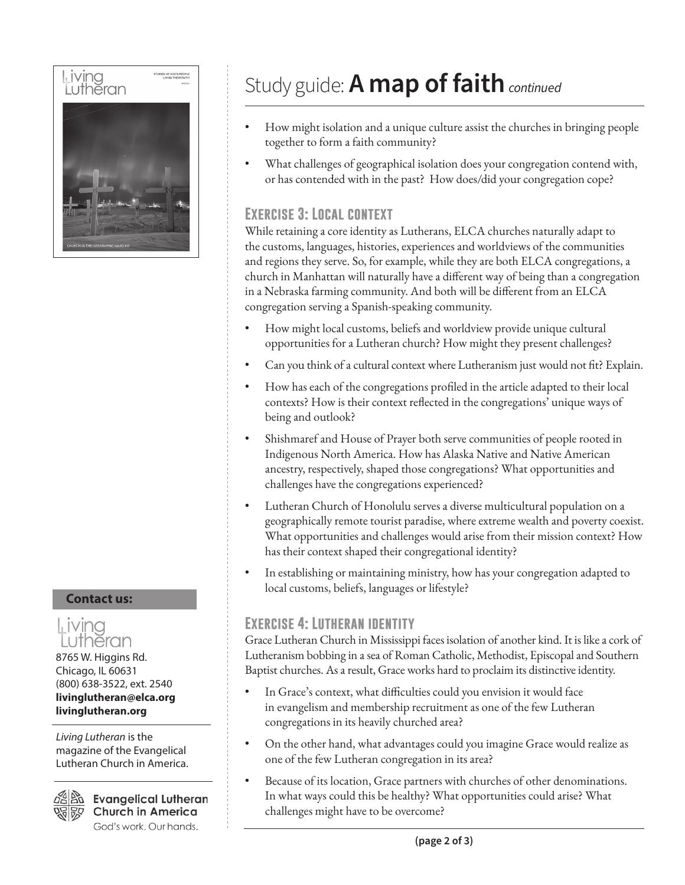

#### **Contact us:**



8765 W. Higgins Rd. Chicago, IL 60631 (800) 638-3522, ext. 2540 **livinglutheran@elca.org livinglutheran.org**

*Living Lutheran* is the magazine of the Evangelical Lutheran Church in America.



**Evangelical Lutheran Church in America** God's work. Our hands.

## Study guide: **A map of faith***continued*

- How might isolation and a unique culture assist the churches in bringing people together to form a faith community?
- What challenges of geographical isolation does your congregation contend with, or has contended with in the past? How does/did your congregation cope?

#### **Exercise 3: Local context**

While retaining a core identity as Lutherans, ELCA churches naturally adapt to the customs, languages, histories, experiences and worldviews of the communities and regions they serve. So, for example, while they are both ELCA congregations, a church in Manhattan will naturally have a different way of being than a congregation in a Nebraska farming community. And both will be different from an ELCA congregation serving a Spanish-speaking community.

- How might local customs, beliefs and worldview provide unique cultural opportunities for a Lutheran church? How might they present challenges?
- Can you think of a cultural context where Lutheranism just would not fit? Explain.
- How has each of the congregations profiled in the article adapted to their local contexts? How is their context reflected in the congregations' unique ways of being and outlook?
- Shishmaref and House of Prayer both serve communities of people rooted in Indigenous North America. How has Alaska Native and Native American ancestry, respectively, shaped those congregations? What opportunities and challenges have the congregations experienced?
- Lutheran Church of Honolulu serves a diverse multicultural population on a geographically remote tourist paradise, where extreme wealth and poverty coexist. What opportunities and challenges would arise from their mission context? How has their context shaped their congregational identity?
- In establishing or maintaining ministry, how has your congregation adapted to local customs, beliefs, languages or lifestyle?

#### **Exercise 4: Lutheran identity**

Grace Lutheran Church in Mississippi faces isolation of another kind. It is like a cork of Lutheranism bobbing in a sea of Roman Catholic, Methodist, Episcopal and Southern Baptist churches. As a result, Grace works hard to proclaim its distinctive identity.

- In Grace's context, what difficulties could you envision it would face in evangelism and membership recruitment as one of the few Lutheran congregations in its heavily churched area?
- On the other hand, what advantages could you imagine Grace would realize as one of the few Lutheran congregation in its area?
- Because of its location, Grace partners with churches of other denominations. In what ways could this be healthy? What opportunities could arise? What challenges might have to be overcome?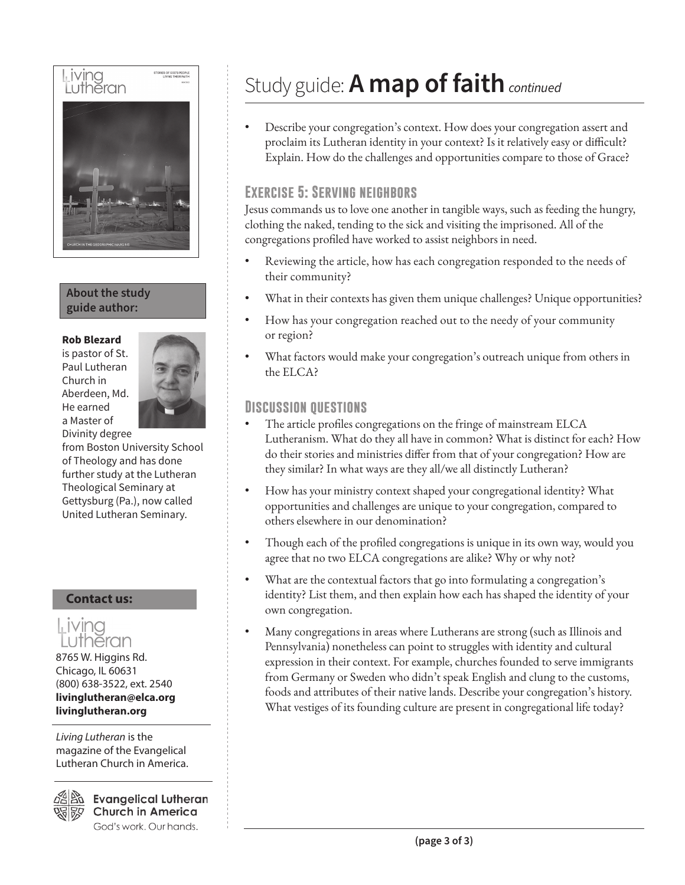

#### **About the study guide author:**

#### **Rob Blezard**

is pastor of St. Paul Lutheran Church in Aberdeen, Md. He earned a Master of Divinity degree



from Boston University School of Theology and has done further study at the Lutheran Theological Seminary at Gettysburg (Pa.), now called United Lutheran Seminary.

#### **Contact us:**



8765 W. Higgins Rd. Chicago, IL 60631 (800) 638-3522, ext. 2540 **livinglutheran@elca.org livinglutheran.org**

*Living Lutheran* is the magazine of the Evangelical Lutheran Church in America.

**Evangelical Lutheran Church in America** God's work. Our hands.

## Study guide: **A map of faith***continued*

• Describe your congregation's context. How does your congregation assert and proclaim its Lutheran identity in your context? Is it relatively easy or difficult? Explain. How do the challenges and opportunities compare to those of Grace?

#### **Exercise 5: Serving neighbors**

Jesus commands us to love one another in tangible ways, such as feeding the hungry, clothing the naked, tending to the sick and visiting the imprisoned. All of the congregations profiled have worked to assist neighbors in need.

- Reviewing the article, how has each congregation responded to the needs of their community?
- What in their contexts has given them unique challenges? Unique opportunities?
- How has your congregation reached out to the needy of your community or region?
- What factors would make your congregation's outreach unique from others in the ELCA?

#### **Discussion questions**

- The article profiles congregations on the fringe of mainstream ELCA Lutheranism. What do they all have in common? What is distinct for each? How do their stories and ministries differ from that of your congregation? How are they similar? In what ways are they all/we all distinctly Lutheran?
- How has your ministry context shaped your congregational identity? What opportunities and challenges are unique to your congregation, compared to others elsewhere in our denomination?
- Though each of the profiled congregations is unique in its own way, would you agree that no two ELCA congregations are alike? Why or why not?
- What are the contextual factors that go into formulating a congregation's identity? List them, and then explain how each has shaped the identity of your own congregation.
- Many congregations in areas where Lutherans are strong (such as Illinois and Pennsylvania) nonetheless can point to struggles with identity and cultural expression in their context. For example, churches founded to serve immigrants from Germany or Sweden who didn't speak English and clung to the customs, foods and attributes of their native lands. Describe your congregation's history. What vestiges of its founding culture are present in congregational life today?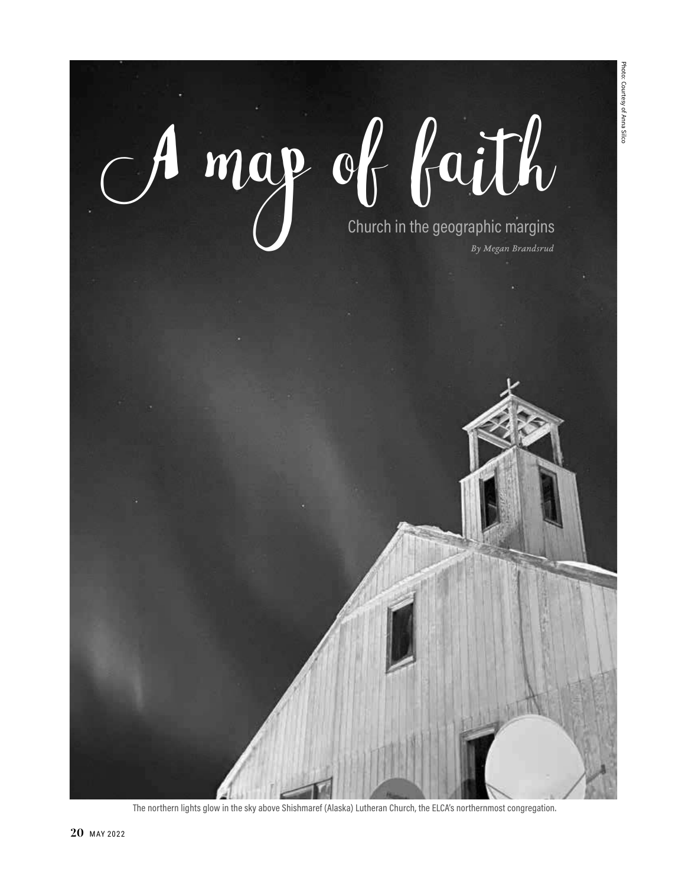Photo: Courtesy of Anna Silco Photo: Courtesy of Anna Silco

# $map$  of faith *By Megan Brandsrud*

The northern lights glow in the sky above Shishmaref (Alaska) Lutheran Church, the ELCA's northernmost congregation.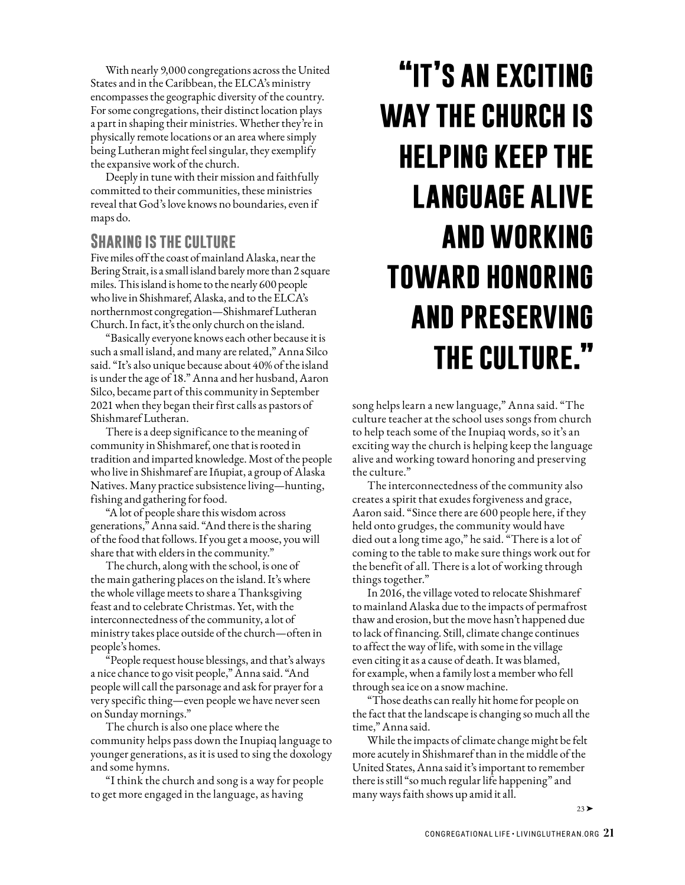With nearly 9,000 congregations across the United States and in the Caribbean, the ELCA's ministry encompasses the geographic diversity of the country. For some congregations, their distinct location plays a part in shaping their ministries. Whether they're in physically remote locations or an area where simply being Lutheran might feel singular, they exemplify the expansive work of the church.

Deeply in tune with their mission and faithfully committed to their communities, these ministries reveal that God's love knows no boundaries, even if maps do.

#### **Sharing is the culture**

Five miles off the coast of mainland Alaska, near the Bering Strait, is a small island barely more than 2 square miles. This island is home to the nearly 600 people who live in Shishmaref, Alaska, and to the ELCA's northernmost congregation—Shishmaref Lutheran Church. In fact, it's the only church on the island.

"Basically everyone knows each other because it is such a small island, and many are related," Anna Silco said. "It's also unique because about 40% of the island is under the age of 18." Anna and her husband, Aaron Silco, became part of this community in September 2021 when they began their first calls as pastors of Shishmaref Lutheran.

There is a deep significance to the meaning of community in Shishmaref, one that is rooted in tradition and imparted knowledge. Most of the people who live in Shishmaref are Iñupiat, a group of Alaska Natives. Many practice subsistence living—hunting, fishing and gathering for food.

"A lot of people share this wisdom across generations," Anna said. "And there is the sharing of the food that follows. If you get a moose, you will share that with elders in the community."

The church, along with the school, is one of the main gathering places on the island. It's where the whole village meets to share a Thanksgiving feast and to celebrate Christmas. Yet, with the interconnectedness of the community, a lot of ministry takes place outside of the church—often in people's homes.

"People request house blessings, and that's always a nice chance to go visit people," Anna said. "And people will call the parsonage and ask for prayer for a very specific thing—even people we have never seen on Sunday mornings."

The church is also one place where the community helps pass down the Inupiaq language to younger generations, as it is used to sing the doxology and some hymns.

"I think the church and song is a way for people to get more engaged in the language, as having

# **"it's an exciting way the church is helping keep the language alive and working toward honoring and preserving the culture."**

song helps learn a new language," Anna said. "The culture teacher at the school uses songs from church to help teach some of the Inupiaq words, so it's an exciting way the church is helping keep the language alive and working toward honoring and preserving the culture."

The interconnectedness of the community also creates a spirit that exudes forgiveness and grace, Aaron said. "Since there are 600 people here, if they held onto grudges, the community would have died out a long time ago," he said. "There is a lot of coming to the table to make sure things work out for the benefit of all. There is a lot of working through things together."

In 2016, the village voted to relocate Shishmaref to mainland Alaska due to the impacts of permafrost thaw and erosion, but the move hasn't happened due to lack of financing. Still, climate change continues to affect the way of life, with some in the village even citing it as a cause of death. It was blamed, for example, when a family lost a member who fell through sea ice on a snow machine.

"Those deaths can really hit home for people on the fact that the landscape is changing so much all the time," Anna said.

While the impacts of climate change might be felt more acutely in Shishmaref than in the middle of the United States, Anna said it's important to remember there is still "so much regular life happening" and many ways faith shows up amid it all.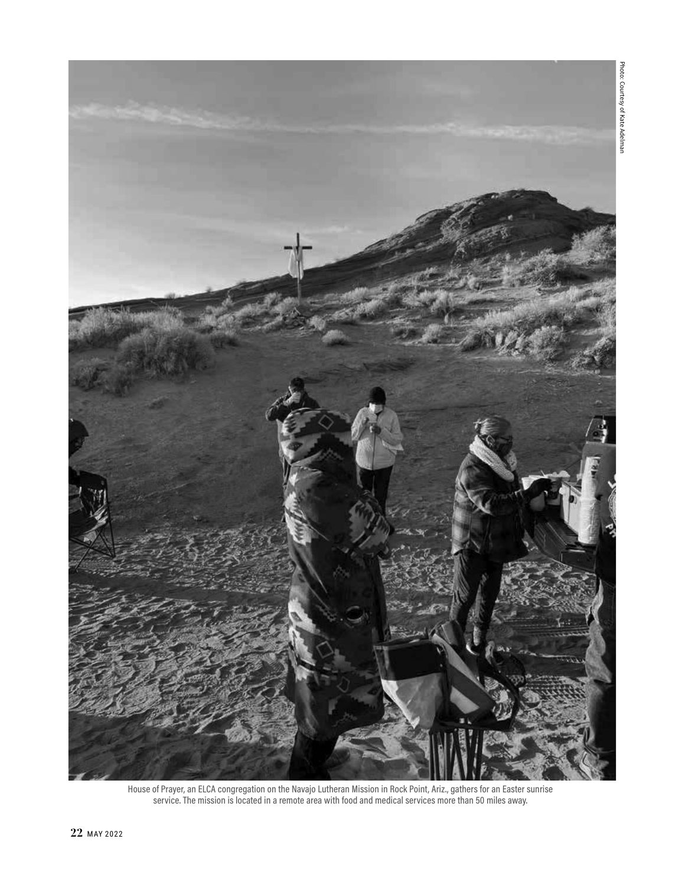

House of Prayer, an ELCA congregation on the Navajo Lutheran Mission in Rock Point, Ariz., gathers for an Easter sunrise service. The mission is located in a remote area with food and medical services more than 50 miles away.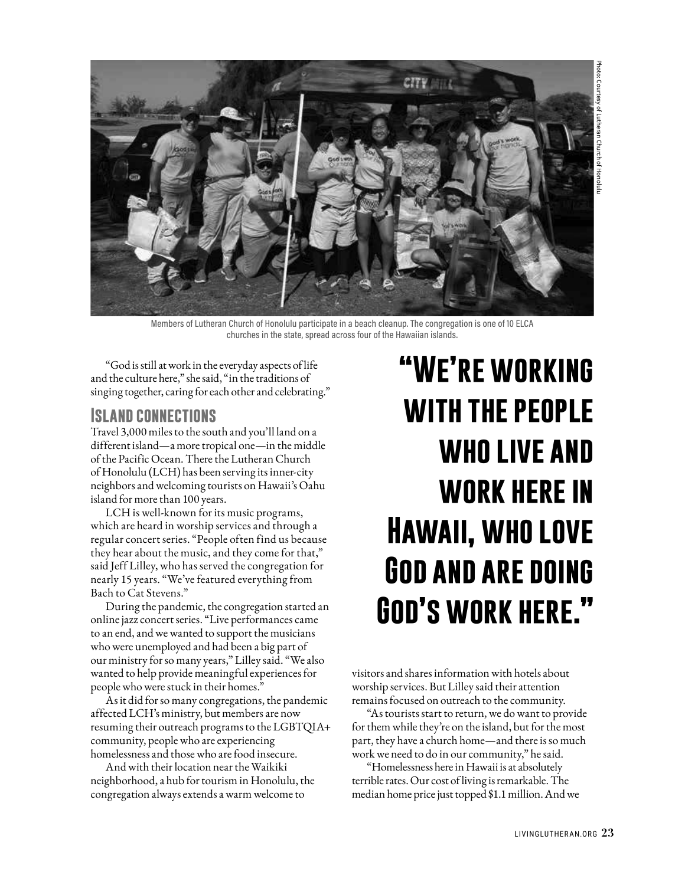

Members of Lutheran Church of Honolulu participate in a beach cleanup. The congregation is one of 10 ELCA churches in the state, spread across four of the Hawaiian islands.

"God is still at work in the everyday aspects of life and the culture here," she said, "in the traditions of singing together, caring for each other and celebrating."

#### **Island connections**

Travel 3,000 miles to the south and you'll land on a different island—a more tropical one—in the middle of the Pacific Ocean. There the Lutheran Church of Honolulu (LCH) has been serving its inner-city neighbors and welcoming tourists on Hawaii's Oahu island for more than 100 years.

LCH is well-known for its music programs, which are heard in worship services and through a regular concert series. "People often find us because they hear about the music, and they come for that," said Jeff Lilley, who has served the congregation for nearly 15 years. "We've featured everything from Bach to Cat Stevens."

During the pandemic, the congregation started an online jazz concert series. "Live performances came to an end, and we wanted to support the musicians who were unemployed and had been a big part of our ministry for so many years," Lilley said. "We also wanted to help provide meaningful experiences for people who were stuck in their homes."

As it did for so many congregations, the pandemic affected LCH's ministry, but members are now resuming their outreach programs to the LGBTQIA+ community, people who are experiencing homelessness and those who are food insecure.

And with their location near the Waikiki neighborhood, a hub for tourism in Honolulu, the congregation always extends a warm welcome to

# **"We're working with the people who live and work here in Hawaii, who love God and are doing God's work here."**

visitors and shares information with hotels about worship services. But Lilley said their attention remains focused on outreach to the community.

"As tourists start to return, we do want to provide for them while they're on the island, but for the most part, they have a church home—and there is so much work we need to do in our community," he said.

"Homelessness here in Hawaii is at absolutely terrible rates. Our cost of living is remarkable. The median home price just topped \$1.1 million. And we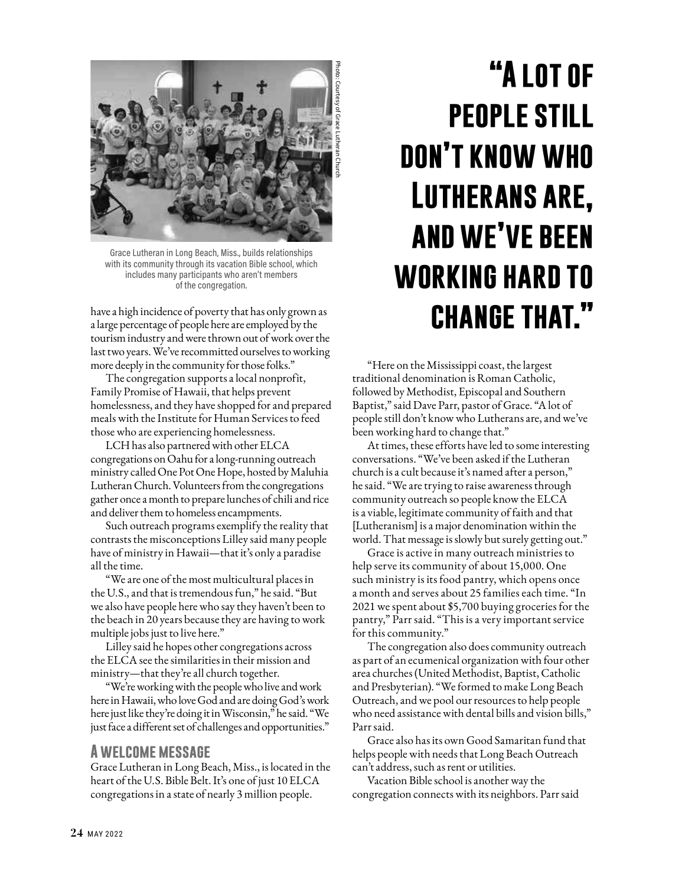

Grace Lutheran in Long Beach, Miss., builds relationships with its community through its vacation Bible school, which includes many participants who aren't members of the congregation.

have a high incidence of poverty that has only grown as a large percentage of people here are employed by the tourism industry and were thrown out of work over the last two years. We've recommitted ourselves to working more deeply in the community for those folks."

The congregation supports a local nonprofit, Family Promise of Hawaii, that helps prevent homelessness, and they have shopped for and prepared meals with the Institute for Human Services to feed those who are experiencing homelessness.

LCH has also partnered with other ELCA congregations on Oahu for a long-running outreach ministry called One Pot One Hope, hosted by Maluhia Lutheran Church. Volunteers from the congregations gather once a month to prepare lunches of chili and rice and deliver them to homeless encampments.

Such outreach programs exemplify the reality that contrasts the misconceptions Lilley said many people have of ministry in Hawaii—that it's only a paradise all the time.

"We are one of the most multicultural places in the U.S., and that is tremendous fun," he said. "But we also have people here who say they haven't been to the beach in 20 years because they are having to work multiple jobs just to live here."

Lilley said he hopes other congregations across the ELCA see the similarities in their mission and ministry—that they're all church together.

"We're working with the people who live and work here in Hawaii, who love God and are doing God's work here just like they're doing it in Wisconsin," he said. "We just face a different set of challenges and opportunities."

#### **A welcome message**

Grace Lutheran in Long Beach, Miss., is located in the heart of the U.S. Bible Belt. It's one of just 10 ELCA congregations in a state of nearly 3 million people.

# **"A lot of people still don't know who Lutherans are, and we've been working hard to change that."**

"Here on the Mississippi coast, the largest traditional denomination is Roman Catholic, followed by Methodist, Episcopal and Southern Baptist," said Dave Parr, pastor of Grace. "A lot of people still don't know who Lutherans are, and we've been working hard to change that."

At times, these efforts have led to some interesting conversations. "We've been asked if the Lutheran church is a cult because it's named after a person," he said. "We are trying to raise awareness through community outreach so people know the ELCA is a viable, legitimate community of faith and that [Lutheranism] is a major denomination within the world. That message is slowly but surely getting out."

Grace is active in many outreach ministries to help serve its community of about 15,000. One such ministry is its food pantry, which opens once a month and serves about 25 families each time. "In 2021 we spent about \$5,700 buying groceries for the pantry," Parr said. "This is a very important service for this community."

The congregation also does community outreach as part of an ecumenical organization with four other area churches (United Methodist, Baptist, Catholic and Presbyterian). "We formed to make Long Beach Outreach, and we pool our resources to help people who need assistance with dental bills and vision bills," Parr said.

Grace also has its own Good Samaritan fund that helps people with needs that Long Beach Outreach can't address, such as rent or utilities.

Vacation Bible school is another way the congregation connects with its neighbors. Parr said